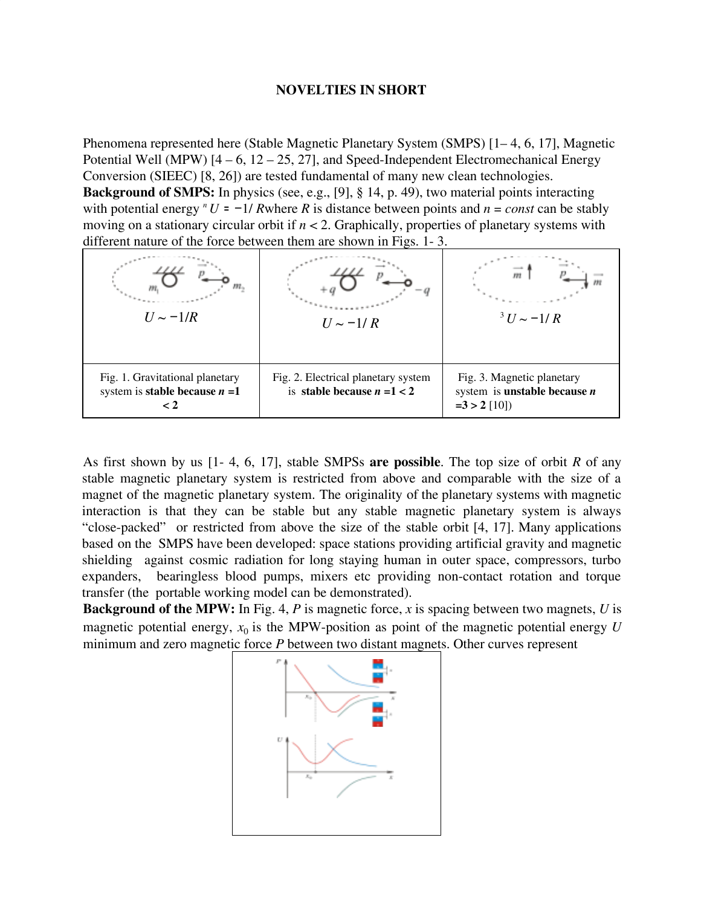## **NOVELTIES IN SHORT**

Phenomena represented here (Stable Magnetic Planetary System (SMPS) [1– 4, 6, 17], Magnetic Potential Well (MPW)  $[4 - 6, 12 - 25, 27]$ , and Speed-Independent Electromechanical Energy Conversion (SIEEC) [8, 26]) are tested fundamental of many new clean technologies. **Background of SMPS:** In physics (see, e.g., [9], § 14, p. 49), two material points interacting with potential energy  $^n U = -1/R$  where R is distance between points and  $n = const$  can be stably moving on a stationary circular orbit if *n* < 2. Graphically, properties of planetary systems with different nature of the force between them are shown in Figs. 1- 3.

| $U \sim -1/R$                                                                           | $U \sim -1/R$                                                        | $13 U \sim -1/R$                                                                      |
|-----------------------------------------------------------------------------------------|----------------------------------------------------------------------|---------------------------------------------------------------------------------------|
| Fig. 1. Gravitational planetary<br>system is <b>stable because</b> $n = 1$<br>$\rm < 2$ | Fig. 2. Electrical planetary system<br>is stable because $n = 1 < 2$ | Fig. 3. Magnetic planetary<br>system is <b>unstable because</b> $n$<br>$=3 > 2$ [10]) |

As first shown by us [1- 4, 6, 17], stable SMPSs **are possible**. The top size of orbit *R* of any stable magnetic planetary system is restricted from above and comparable with the size of a magnet of the magnetic planetary system. The originality of the planetary systems with magnetic interaction is that they can be stable but any stable magnetic planetary system is always "close-packed" or restricted from above the size of the stable orbit [4, 17]. Many applications based on the SMPS have been developed: space stations providing artificial gravity and magnetic shielding against cosmic radiation for long staying human in outer space, compressors, turbo expanders, bearingless blood pumps, mixers etc providing non-contact rotation and torque transfer (the portable working model can be demonstrated).

**Background of the MPW:** In Fig. 4, *P* is magnetic force, *x* is spacing between two magnets, *U* is magnetic potential energy,  $x_0$  is the MPW-position as point of the magnetic potential energy  $U$ minimum and zero magnetic force *P* between two distant magnets. Other curves represent

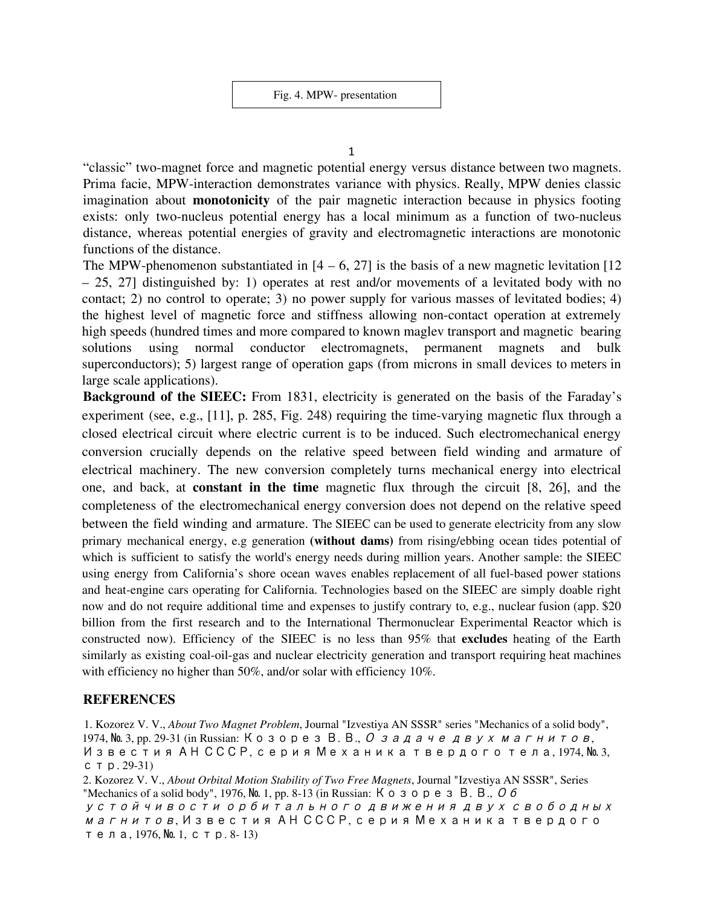Fig. 4. MPW- presentation

1

"classic" two-magnet force and magnetic potential energy versus distance between two magnets. Prima facie, MPW-interaction demonstrates variance with physics. Really, MPW denies classic imagination about **monotonicity** of the pair magnetic interaction because in physics footing exists: only two-nucleus potential energy has a local minimum as a function of two-nucleus distance, whereas potential energies of gravity and electromagnetic interactions are monotonic functions of the distance.

The MPW-phenomenon substantiated in  $[4 - 6, 27]$  is the basis of a new magnetic levitation  $[12]$ – 25, 27] distinguished by: 1) operates at rest and/or movements of a levitated body with no contact; 2) no control to operate; 3) no power supply for various masses of levitated bodies; 4) the highest level of magnetic force and stiffness allowing non-contact operation at extremely high speeds (hundred times and more compared to known maglev transport and magnetic bearing solutions using normal conductor electromagnets, permanent magnets and bulk superconductors); 5) largest range of operation gaps (from microns in small devices to meters in large scale applications).

**Background of the SIEEC:** From 1831, electricity is generated on the basis of the Faraday's experiment (see, e.g., [11], p. 285, Fig. 248) requiring the time-varying magnetic flux through a closed electrical circuit where electric current is to be induced. Such electromechanical energy conversion crucially depends on the relative speed between field winding and armature of electrical machinery. The new conversion completely turns mechanical energy into electrical one, and back, at **constant in the time** magnetic flux through the circuit [8, 26], and the completeness of the electromechanical energy conversion does not depend on the relative speed between the field winding and armature. The SIEEC can be used to generate electricity from any slow primary mechanical energy, e.g generation **(without dams)** from rising/ebbing ocean tides potential of which is sufficient to satisfy the world's energy needs during million years. Another sample: the SIEEC using energy from California's shore ocean waves enables replacement of all fuel-based power stations and heat-engine cars operating for California. Technologies based on the SIEEC are simply doable right now and do not require additional time and expenses to justify contrary to, e.g., nuclear fusion (app. \$20 billion from the first research and to the International Thermonuclear Experimental Reactor which is constructed now). Efficiency of the SIEEC is no less than 95% that **excludes** heating of the Earth similarly as existing coal-oil-gas and nuclear electricity generation and transport requiring heat machines with efficiency no higher than 50%, and/or solar with efficiency 10%.

## **REFERENCES**

1. Kozorez V. V., *About Two Magnet Problem*, Journal "Izvestiya AN SSSR" series "Mechanics of a solid body", 1974, № 3, pp. 29-31 (in Russian: Козорез В. В., <sup>О</sup> задаче двух магнитов, Известия АН СССР, серия Механика твердого тела, 1974, № 3, стр. 29-31)

2. Kozorez V. V., *About Orbital Motion Stability of Two Free Magnets*, Journal "Izvestiya AN SSSR", Series "Mechanics of a solid body", 1976, № 1, pp. 8-13 (in Russian: Козорез В. В., Об устойчивости орбитального движения двух свободных магнитов, Известия АН СССР, серия Механика твердого тела, 1976, № 1, стр. 8- 13)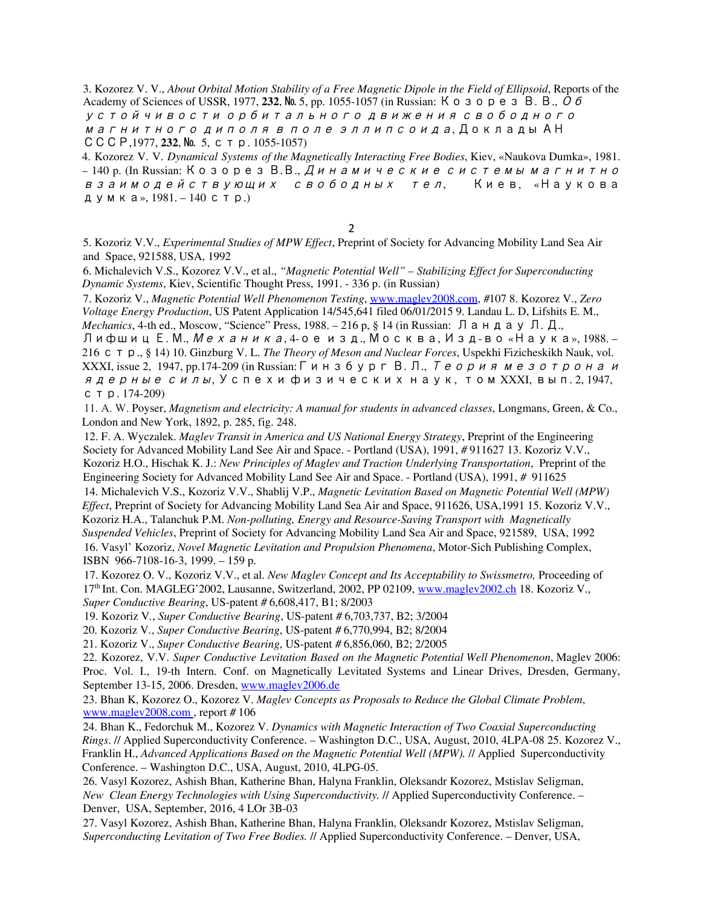3. Kozorez V. V., *About Orbital Motion Stability of a Free Magnetic Dipole in the Field of Ellipsoid*, Reports of the Academy of Sciences of USSR, 1977, 232, No. 5, pp. 1055-1057 (in Russian:  $K \circ \sigma$   $\rho$   $\rho$   $\sigma$   $\sigma$   $\sigma$ устойчивости орбитального движения свободного магнитного диполя <sup>в</sup> поле эллипсоида, Доклады АН СССР,1977, **232**, № 5, стр. 1055-1057)

4. Kozorez V. V. *Dynamical Systems of the Magnetically Interacting Free Bodies*, Kiev, «Naukova Dumka», 1981. – 140 p. (In Russian: Козорез В.В., Динамические системы магнитно взаимодействующих свободных тел, Киев, «Наукова думка», 1981. – 140 стр.)

## 2

5. Kozoriz V.V., *Experimental Studies of MPW Ef ect*, Preprint of Society for Advancing Mobility Land Sea Air and Space, 921588, USA, 1992

6. Michalevich V.S., Kozorez V.V., et al., *"Magnetic Potential Well" – Stabilizing Ef ect for Superconducting Dynamic Systems*, Kiev, Scientific Thought Press, 1991. - 336 p. (in Russian)

7. Kozoriz V., *Magnetic Potential Well Phenomenon Testing*, www.maglev2008.com, #107 8. Kozorez V., *Zero Voltage Energy Production*, US Patent Application 14/545,641 filed 06/01/2015 9. Landau L. D, Lifshits E. M., *Mechanics*, 4-th ed., Moscow, "Science" Press, 1988. – 216 p, § 14 (in Russian: Ландау Л. Д.,

Лифшиц Е. М., Механика, 4-ое изд., Москва, Изд-во «Наука», 1988. – 216 стр., § 14) 10. Ginzburg V. L. *The Theory of Meson and Nuclear Forces*, Uspekhi Fizicheskikh Nauk, vol. XXXI, issue 2, 1947, pp.174-209 (in Russian: Гинзбург В. Л., *Теория мезотрона и* ядерные силы, Успехи физических наук, том XXXI, вып. 2, 1947, стр. 174-209)

11. A. W. Poyser, *Magnetism and electricity: A manual for students in advanced classes*, Longmans, Green, & Co., London and New York, 1892, p. 285, fig. 248.

12. F. A. Wyczalek. *Maglev Transit in America and US National Energy Strategy*, Preprint of the Engineering Society for Advanced Mobility Land See Air and Space. - Portland (USA), 1991, # 911627 13. Kozoriz V.V., Kozoriz H.O., Hischak K. J.: *New Principles of Maglev and Traction Underlying Transportation*, Preprint of the Engineering Society for Advanced Mobility Land See Air and Space. - Portland (USA), 1991, # 911625 14. Michalevich V.S., Kozoriz V.V., Shablij V.P., *Magnetic Levitation Based on Magnetic Potential Well (MPW) Ef ect*, Preprint of Society for Advancing Mobility Land Sea Air and Space, 911626, USA,1991 15. Kozoriz V.V., Kozoriz H.A., Talanchuk P.M. *Non-polluting, Energy and Resource-Saving Transport with Magnetically Suspended Vehicles*, Preprint of Society for Advancing Mobility Land Sea Air and Space, 921589, USA, 1992

16. Vasyl' Kozoriz, *Novel Magnetic Levitation and Propulsion Phenomena*, Motor-Sich Publishing Complex, ISBN 966-7108-16-3, 1999. – 159 p.

17. Kozorez O. V., Kozoriz V.V., et al. *New Maglev Concept and Its Acceptability to Swissmetro,* Proceeding of 17<sup>th</sup> Int. Con. MAGLEG'2002, Lausanne, Switzerland, 2002, PP 02109, www.maglev2002.ch 18. Kozoriz V., *Super Conductive Bearing*, US-patent # 6,608,417, B1; 8/2003

19. Kozoriz V*.*, *Super Conductive Bearing*, US-patent # 6,703,737, B2; 3/2004

20. Kozoriz V*.*, *Super Conductive Bearing*, US-patent # 6,770,994, B2; 8/2004

21. Kozoriz V., *Super Conductive Bearing*, US-patent # 6,856,060, B2; 2/2005

22. Kozorez, V.V. *Super Conductive Levitation Based on the Magnetic Potential Well Phenomenon*, Maglev 2006: Proc. Vol. I., 19-th Intern. Conf. on Magnetically Levitated Systems and Linear Drives, Dresden, Germany, September 13-15, 2006. Dresden, www.maglev2006.de

23. Bhan K, Kozorez O., Kozorez V. *Maglev Concepts as Proposals to Reduce the Global Climate Problem*, www.maglev2008.com , report # 106

24. Bhan K., Fedorchuk M., Kozorez V. *Dynamics with Magnetic Interaction of Two Coaxial Superconducting Rings*. // Applied Superconductivity Conference. – Washington D.C., USA, August, 2010, 4LPA-08 25. Kozorez V., Franklin H., *Advanced Applications Based on the Magnetic Potential Well (MPW).* // Applied Superconductivity Conference. – Washington D.C., USA, August, 2010, 4LPG-05.

26. Vasyl Kozorez, Ashish Bhan, Katherine Bhan, Halyna Franklin, Oleksandr Kozorez, Mstislav Seligman, *New Clean Energy Technologies with Using Superconductivity.* // Applied Superconductivity Conference. – Denver, USA, September, 2016, 4 LOr 3B-03

27. Vasyl Kozorez, Ashish Bhan, Katherine Bhan, Halyna Franklin, Oleksandr Kozorez, Mstislav Seligman, *Superconducting Levitation of Two Free Bodies.* // Applied Superconductivity Conference. – Denver, USA,